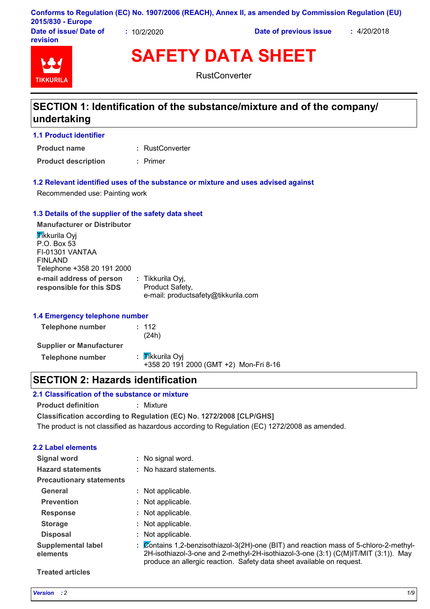|                        |           | Conforms to Regulation (EC) No. 1907/2006 (REACH), Annex II, as amended by Commission Regulation (EU) |             |
|------------------------|-----------|-------------------------------------------------------------------------------------------------------|-------------|
| 2015/830 - Europe      |           |                                                                                                       |             |
| Date of issue/ Date of | 10/2/2020 | Date of previous issue                                                                                | : 4/20/2018 |

**SAFETY DATA SHEET**

TIKKIIRI

**revision**

**RustConverter** 

# **SECTION 1: Identification of the substance/mixture and of the company/ undertaking**

**1.1 Product identifier**

RustConverter **: Product name**

**Product description :** Primer

#### **1.2 Relevant identified uses of the substance or mixture and uses advised against**

Recommended use: Painting work

# **1.3 Details of the supplier of the safety data sheet**

**e-mail address of person responsible for this SDS :** Tikkurila Oyj, Product Safety, e-mail: productsafety@tikkurila.com **Manufacturer or Distributor Tikkurila Ovi** P.O. Box 53 FI-01301 VANTAA FINLAND Telephone +358 20 191 2000

# **1.4 Emergency telephone number**

| Telephone number                | : 112<br>(24h)                                            |
|---------------------------------|-----------------------------------------------------------|
| <b>Supplier or Manufacturer</b> |                                                           |
| Telephone number                | : Tikkurila Oyi<br>+358 20 191 2000 (GMT +2) Mon-Fri 8-16 |

# **SECTION 2: Hazards identification**

# **2.1 Classification of the substance or mixture**

**Product definition :** Mixture

**Classification according to Regulation (EC) No. 1272/2008 [CLP/GHS]**

The product is not classified as hazardous according to Regulation (EC) 1272/2008 as amended.

# **2.2 Label elements**

| Signal word                           |    | : No signal word.                                                                                                                                                                                                                                  |
|---------------------------------------|----|----------------------------------------------------------------------------------------------------------------------------------------------------------------------------------------------------------------------------------------------------|
| <b>Hazard statements</b>              |    | : No hazard statements.                                                                                                                                                                                                                            |
| <b>Precautionary statements</b>       |    |                                                                                                                                                                                                                                                    |
| General                               |    | : Not applicable.                                                                                                                                                                                                                                  |
| <b>Prevention</b>                     |    | : Not applicable.                                                                                                                                                                                                                                  |
| <b>Response</b>                       |    | Not applicable.                                                                                                                                                                                                                                    |
| <b>Storage</b>                        |    | : Not applicable.                                                                                                                                                                                                                                  |
| <b>Disposal</b>                       | ÷. | Not applicable.                                                                                                                                                                                                                                    |
| <b>Supplemental label</b><br>elements | ÷. | Contains 1,2-benzisothiazol-3(2H)-one (BIT) and reaction mass of 5-chloro-2-methyl-<br>2H-isothiazol-3-one and 2-methyl-2H-isothiazol-3-one (3:1) (C(M)IT/MIT (3:1)). May<br>produce an allergic reaction. Safety data sheet available on request. |

#### **Treated articles**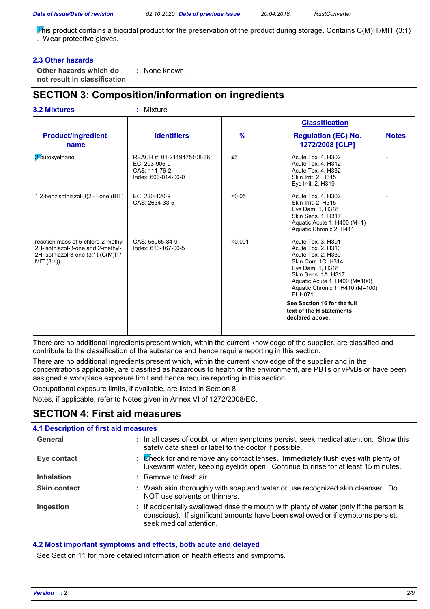This product contains a biocidal product for the preservation of the product during storage. Contains C(M)IT/MIT (3:1) . Wear protective gloves.

# **2.3 Other hazards**

**Other hazards which do : not result in classification** : None known.

# **SECTION 3: Composition/information on ingredients**

| <b>3.2 Mixtures</b>                                                                                                          | : Mixture                                                                          |          |                                                                                                                                                                                                                                                      |              |
|------------------------------------------------------------------------------------------------------------------------------|------------------------------------------------------------------------------------|----------|------------------------------------------------------------------------------------------------------------------------------------------------------------------------------------------------------------------------------------------------------|--------------|
|                                                                                                                              |                                                                                    |          | <b>Classification</b>                                                                                                                                                                                                                                |              |
| <b>Product/ingredient</b><br>name                                                                                            | <b>Identifiers</b>                                                                 | $\%$     | <b>Regulation (EC) No.</b><br>1272/2008 [CLP]                                                                                                                                                                                                        | <b>Notes</b> |
| 2-butoxyethanol                                                                                                              | REACH #: 01-2119475108-36<br>EC: 203-905-0<br>CAS: 111-76-2<br>Index: 603-014-00-0 | $\leq 5$ | Acute Tox. 4, H302<br>Acute Tox. 4, H312<br>Acute Tox. 4, H332<br>Skin Irrit. 2, H315<br>Eye Irrit. 2, H319                                                                                                                                          |              |
| 1,2-benzisothiazol-3(2H)-one (BIT)                                                                                           | EC: 220-120-9<br>CAS: 2634-33-5                                                    | < 0.05   | Acute Tox. 4, H302<br>Skin Irrit. 2, H315<br>Eye Dam. 1, H318<br>Skin Sens. 1, H317<br>Aquatic Acute 1, H400 (M=1)<br>Aquatic Chronic 2, H411                                                                                                        |              |
| reaction mass of 5-chloro-2-methyl-<br>2H-isothiazol-3-one and 2-methyl-<br>2H-isothiazol-3-one (3:1) (C(M)IT/<br>MIT (3:1)) | CAS: 55965-84-9<br>Index: 613-167-00-5                                             | < 0.001  | Acute Tox. 3, H301<br>Acute Tox. 2, H310<br>Acute Tox. 2, H330<br>Skin Corr. 1C, H314<br>Eye Dam. 1, H318<br>Skin Sens. 1A, H317<br>Aquatic Acute 1, H400 (M=100)<br>Aquatic Chronic 1, H410 (M=100)<br><b>EUH071</b><br>See Section 16 for the full |              |
|                                                                                                                              |                                                                                    |          | text of the H statements<br>declared above.                                                                                                                                                                                                          |              |

There are no additional ingredients present which, within the current knowledge of the supplier, are classified and contribute to the classification of the substance and hence require reporting in this section.

There are no additional ingredients present which, within the current knowledge of the supplier and in the concentrations applicable, are classified as hazardous to health or the environment, are PBTs or vPvBs or have been assigned a workplace exposure limit and hence require reporting in this section.

Occupational exposure limits, if available, are listed in Section 8.

Notes, if applicable, refer to Notes given in Annex VI of 1272/2008/EC.

# **SECTION 4: First aid measures**

| <b>4.1 Description of first aid measures</b> |                                                                                                                                                                                                      |
|----------------------------------------------|------------------------------------------------------------------------------------------------------------------------------------------------------------------------------------------------------|
| General                                      | : In all cases of doubt, or when symptoms persist, seek medical attention. Show this<br>safety data sheet or label to the doctor if possible.                                                        |
| Eye contact                                  | : Check for and remove any contact lenses. Immediately flush eyes with plenty of<br>lukewarm water, keeping eyelids open. Continue to rinse for at least 15 minutes.                                 |
| <b>Inhalation</b>                            | : Remove to fresh air.                                                                                                                                                                               |
| <b>Skin contact</b>                          | : Wash skin thoroughly with soap and water or use recognized skin cleanser. Do<br>NOT use solvents or thinners.                                                                                      |
| Ingestion                                    | : If accidentally swallowed rinse the mouth with plenty of water (only if the person is<br>conscious). If significant amounts have been swallowed or if symptoms persist,<br>seek medical attention. |

# **4.2 Most important symptoms and effects, both acute and delayed**

See Section 11 for more detailed information on health effects and symptoms.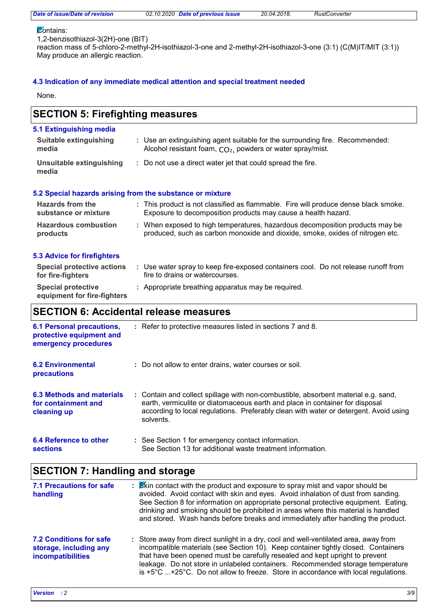#### **Contains:**

1,2-benzisothiazol-3(2H)-one (BIT)

reaction mass of 5-chloro-2-methyl-2H-isothiazol-3-one and 2-methyl-2H-isothiazol-3-one (3:1) (C(M)IT/MIT (3:1)) May produce an allergic reaction.

# **4.3 Indication of any immediate medical attention and special treatment needed**

None.

#### Use water spray to keep fire-exposed containers cool. Do not release runoff from **:** fire to drains or watercourses. **Hazardous combustion products Hazards from the substance or mixture** When exposed to high temperatures, hazardous decomposition products may be **:** produced, such as carbon monoxide and dioxide, smoke, oxides of nitrogen etc. This product is not classified as flammable. Fire will produce dense black smoke. **:** Exposure to decomposition products may cause a health hazard. **Special protective :** Appropriate breathing apparatus may be required. **equipment for fire-fighters** Use an extinguishing agent suitable for the surrounding fire. Recommended: **:** Alcohol resistant foam,  $CO<sub>2</sub>$ , powders or water spray/mist. **5.1 Extinguishing media** Do not use a direct water jet that could spread the fire. **: Suitable extinguishing media Unsuitable extinguishing media SECTION 5: Firefighting measures 5.2 Special hazards arising from the substance or mixture 5.3 Advice for firefighters Special protective actions for fire-fighters SECTION 6: Accidental release measures 6.1 Personal precautions, protective equipment and emergency procedures** Refer to protective measures listed in sections 7 and 8. **:**

| <b>6.2 Environmental</b><br><b>precautions</b>                  | : Do not allow to enter drains, water courses or soil.                                                                                                                                                                                                                   |
|-----------------------------------------------------------------|--------------------------------------------------------------------------------------------------------------------------------------------------------------------------------------------------------------------------------------------------------------------------|
| 6.3 Methods and materials<br>for containment and<br>cleaning up | : Contain and collect spillage with non-combustible, absorbent material e.g. sand,<br>earth, vermiculite or diatomaceous earth and place in container for disposal<br>according to local regulations. Preferably clean with water or detergent. Avoid using<br>solvents. |
| 6.4 Reference to other                                          | : See Section 1 for emergency contact information.                                                                                                                                                                                                                       |

See Section 13 for additional waste treatment information.

# **SECTION 7: Handling and storage**

| <b>7.1 Precautions for safe</b><br>handling                                          | : Skin contact with the product and exposure to spray mist and vapor should be<br>avoided. Avoid contact with skin and eyes. Avoid inhalation of dust from sanding.<br>See Section 8 for information on appropriate personal protective equipment. Eating,<br>drinking and smoking should be prohibited in areas where this material is handled<br>and stored. Wash hands before breaks and immediately after handling the product.                    |  |
|--------------------------------------------------------------------------------------|--------------------------------------------------------------------------------------------------------------------------------------------------------------------------------------------------------------------------------------------------------------------------------------------------------------------------------------------------------------------------------------------------------------------------------------------------------|--|
| <b>7.2 Conditions for safe</b><br>storage, including any<br><b>incompatibilities</b> | : Store away from direct sunlight in a dry, cool and well-ventilated area, away from<br>incompatible materials (see Section 10). Keep container tightly closed. Containers<br>that have been opened must be carefully resealed and kept upright to prevent<br>leakage. Do not store in unlabeled containers. Recommended storage temperature<br>is $+5^{\circ}$ C $+25^{\circ}$ C. Do not allow to freeze. Store in accordance with local regulations. |  |

**sections**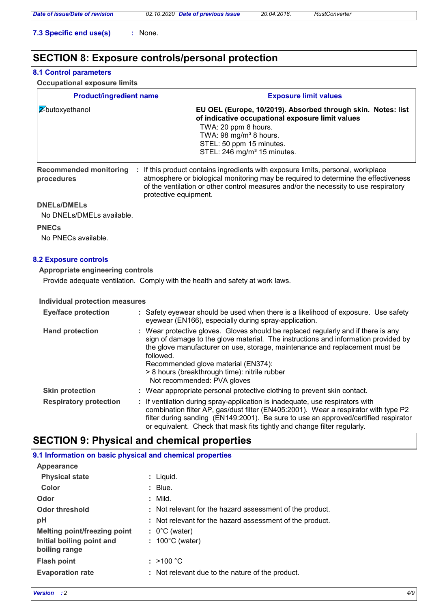**7.3 Specific end use(s) :** None.

# **SECTION 8: Exposure controls/personal protection**

# **8.1 Control parameters**

**Occupational exposure limits**

| <b>Product/ingredient name</b> | <b>Exposure limit values</b>                                                                                                                                                                                                                          |
|--------------------------------|-------------------------------------------------------------------------------------------------------------------------------------------------------------------------------------------------------------------------------------------------------|
| $ $ 2-butoxyethanol            | EU OEL (Europe, 10/2019). Absorbed through skin. Notes: list<br>of indicative occupational exposure limit values<br>TWA: 20 ppm 8 hours.<br>TWA: 98 mg/m <sup>3</sup> 8 hours.<br>STEL: 50 ppm 15 minutes.<br>STEL: 246 mg/m <sup>3</sup> 15 minutes. |

**procedures**

Recommended monitoring : If this product contains ingredients with exposure limits, personal, workplace atmosphere or biological monitoring may be required to determine the effectiveness of the ventilation or other control measures and/or the necessity to use respiratory protective equipment.

### **DNELs/DMELs**

No DNELs/DMELs available.

**PNECs**

No PNECs available.

# **8.2 Exposure controls**

**Appropriate engineering controls**

Provide adequate ventilation. Comply with the health and safety at work laws.

# **Individual protection measures**

| <b>Eye/face protection</b>    | : Safety eyewear should be used when there is a likelihood of exposure. Use safety<br>eyewear (EN166), especially during spray-application.                                                                                                                                                                                                                                                |
|-------------------------------|--------------------------------------------------------------------------------------------------------------------------------------------------------------------------------------------------------------------------------------------------------------------------------------------------------------------------------------------------------------------------------------------|
| <b>Hand protection</b>        | : Wear protective gloves. Gloves should be replaced regularly and if there is any<br>sign of damage to the glove material. The instructions and information provided by<br>the glove manufacturer on use, storage, maintenance and replacement must be<br>followed.<br>Recommended glove material (EN374):<br>> 8 hours (breakthrough time): nitrile rubber<br>Not recommended: PVA gloves |
| <b>Skin protection</b>        | : Wear appropriate personal protective clothing to prevent skin contact.                                                                                                                                                                                                                                                                                                                   |
| <b>Respiratory protection</b> | : If ventilation during spray-application is inadequate, use respirators with<br>combination filter AP, gas/dust filter (EN405:2001). Wear a respirator with type P2<br>filter during sanding (EN149:2001). Be sure to use an approved/certified respirator<br>or equivalent. Check that mask fits tightly and change filter regularly.                                                    |

# **SECTION 9: Physical and chemical properties**

# **9.1 Information on basic physical and chemical properties**

| Appearance                   |                                                          |
|------------------------------|----------------------------------------------------------|
| <b>Physical state</b>        | : Liquid.                                                |
| Color                        | $:$ Blue.                                                |
| Odor                         | $:$ Mild.                                                |
| <b>Odor threshold</b>        | : Not relevant for the hazard assessment of the product. |
| pH                           | : Not relevant for the hazard assessment of the product. |
| Melting point/freezing point | $: 0^{\circ}$ C (water)                                  |
| Initial boiling point and    | $: 100^{\circ}$ C (water)                                |
| boiling range                |                                                          |
| <b>Flash point</b>           | : $>100 °C$                                              |
| <b>Evaporation rate</b>      | : Not relevant due to the nature of the product.         |

**Appearance**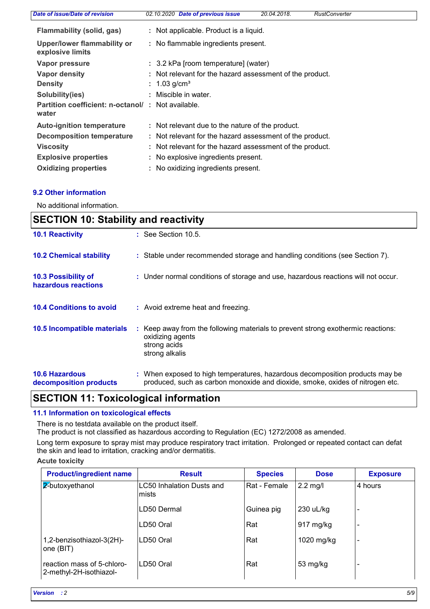| Date of issue/Date of revision                             | <b>Date of previous issue</b><br>20.04.2018.<br><b>RustConverter</b><br>02.10.2020 |
|------------------------------------------------------------|------------------------------------------------------------------------------------|
| Flammability (solid, gas)                                  | : Not applicable. Product is a liquid.                                             |
| Upper/lower flammability or<br>explosive limits            | : No flammable ingredients present.                                                |
| Vapor pressure                                             | : 3.2 kPa [room temperature] (water)                                               |
| <b>Vapor density</b>                                       | : Not relevant for the hazard assessment of the product.                           |
| <b>Density</b>                                             | : $1.03$ g/cm <sup>3</sup>                                                         |
| Solubility(ies)                                            | : Miscible in water.                                                               |
| Partition coefficient: n-octanol/: Not available.<br>water |                                                                                    |
| <b>Auto-ignition temperature</b>                           | : Not relevant due to the nature of the product.                                   |
| <b>Decomposition temperature</b>                           | : Not relevant for the hazard assessment of the product.                           |
| <b>Viscosity</b>                                           | : Not relevant for the hazard assessment of the product.                           |
| <b>Explosive properties</b>                                | : No explosive ingredients present.                                                |
| <b>Oxidizing properties</b>                                | : No oxidizing ingredients present.                                                |

# **9.2 Other information**

No additional information.

| <b>SECTION 10: Stability and reactivity</b>     |                                                                                                                                                               |  |
|-------------------------------------------------|---------------------------------------------------------------------------------------------------------------------------------------------------------------|--|
| <b>10.1 Reactivity</b>                          | $\therefore$ See Section 10.5.                                                                                                                                |  |
| <b>10.2 Chemical stability</b>                  | : Stable under recommended storage and handling conditions (see Section 7).                                                                                   |  |
| 10.3 Possibility of<br>hazardous reactions      | : Under normal conditions of storage and use, hazardous reactions will not occur.                                                                             |  |
| <b>10.4 Conditions to avoid</b>                 | : Avoid extreme heat and freezing.                                                                                                                            |  |
| 10.5 Incompatible materials                     | : Keep away from the following materials to prevent strong exothermic reactions:<br>oxidizing agents<br>strong acids<br>strong alkalis                        |  |
| <b>10.6 Hazardous</b><br>decomposition products | : When exposed to high temperatures, hazardous decomposition products may be<br>produced, such as carbon monoxide and dioxide, smoke, oxides of nitrogen etc. |  |

# **SECTION 11: Toxicological information**

# **11.1 Information on toxicological effects**

There is no testdata available on the product itself.

The product is not classified as hazardous according to Regulation (EC) 1272/2008 as amended.

Long term exposure to spray mist may produce respiratory tract irritation. Prolonged or repeated contact can defat the skin and lead to irritation, cracking and/or dermatitis.

# **Acute toxicity**

| <b>Product/ingredient name</b>                        | <b>Result</b>                       | <b>Species</b> | <b>Dose</b> | <b>Exposure</b>          |
|-------------------------------------------------------|-------------------------------------|----------------|-------------|--------------------------|
| 2-butoxyethanol                                       | LC50 Inhalation Dusts and<br>Imists | Rat - Female   | $2.2$ mg/l  | 4 hours                  |
|                                                       | LD50 Dermal                         | Guinea pig     | 230 uL/kg   |                          |
|                                                       | LD50 Oral                           | Rat            | 917 mg/kg   |                          |
| 1,2-benzisothiazol-3(2H)-<br>one (BIT)                | LD50 Oral                           | Rat            | 1020 mg/kg  | $\overline{\phantom{0}}$ |
| reaction mass of 5-chloro-<br>2-methyl-2H-isothiazol- | ILD50 Oral                          | Rat            | 53 mg/kg    |                          |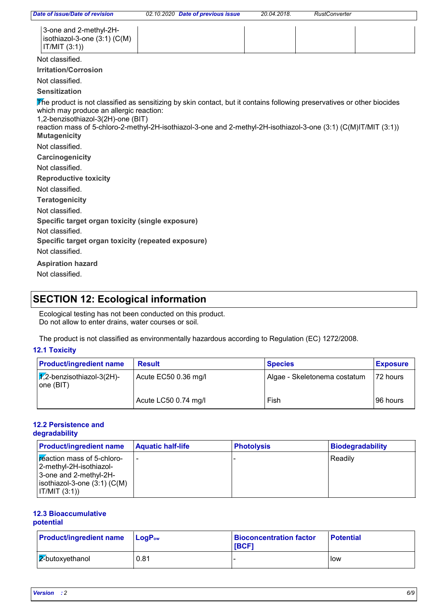| 3-one and 2-methyl-2H-           |  |
|----------------------------------|--|
| $ $ isothiazol-3-one (3:1) (C(M) |  |
| IT/MIT (3:1)                     |  |

#### Not classified.

**Irritation/Corrosion**

Not classified.

## **Sensitization**

The product is not classified as sensitizing by skin contact, but it contains following preservatives or other biocides which may produce an allergic reaction:

1,2-benzisothiazol-3(2H)-one (BIT)

**Mutagenicity** reaction mass of 5-chloro-2-methyl-2H-isothiazol-3-one and 2-methyl-2H-isothiazol-3-one (3:1) (C(M)IT/MIT (3:1))

Not classified.

**Carcinogenicity**

Not classified.

**Reproductive toxicity**

Not classified.

**Teratogenicity**

Not classified.

**Specific target organ toxicity (single exposure)**

Not classified.

**Specific target organ toxicity (repeated exposure)**

Not classified.

**Aspiration hazard**

Not classified.

# **SECTION 12: Ecological information**

Ecological testing has not been conducted on this product. Do not allow to enter drains, water courses or soil.

The product is not classified as environmentally hazardous according to Regulation (EC) 1272/2008.

# **12.1 Toxicity**

| <b>Product/ingredient name</b>               | <b>Result</b>        | <b>Species</b>               | <b>Exposure</b> |
|----------------------------------------------|----------------------|------------------------------|-----------------|
| $ \chi$ 2-benzisothiazol-3(2H)-<br>one (BIT) | Acute EC50 0.36 mg/l | Algae - Skeletonema costatum | 172 hours       |
|                                              | Acute LC50 0.74 mg/l | Fish                         | 196 hours       |

#### **12.2 Persistence and degradability**

| <b>Product/ingredient name</b>                                                                                                             | <b>Aquatic half-life</b> | <b>Photolysis</b> | <b>Biodegradability</b> |
|--------------------------------------------------------------------------------------------------------------------------------------------|--------------------------|-------------------|-------------------------|
| Freaction mass of 5-chloro-<br>-2-methyl-2H-isothiazol <br>3-one and 2-methyl-2H-<br>$ isothiazol-3$ -one $(3:1)$ $(C(M))$<br> IT/MIT(3:1) | ۰                        |                   | Readilv                 |

# **12.3 Bioaccumulative**

# **potential**

| <b>Product/ingredient name</b> | $\blacksquare$ Log $\mathsf{P}_{\mathsf{ow}}$ | <b>Bioconcentration factor</b><br><b>IBCF1</b> | <b>Potential</b> |
|--------------------------------|-----------------------------------------------|------------------------------------------------|------------------|
| $2$ -butoxyethanol             | 0.81                                          |                                                | <b>I</b> low     |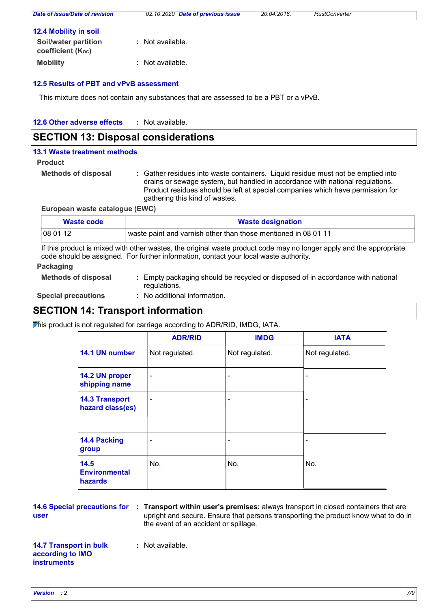# **12.5 Results of PBT and vPvB assessment**

**Mobility :** Not available.

This mixture does not contain any substances that are assessed to be a PBT or a vPvB.

#### **12.6 Other adverse effects :**

# **SECTION 13: Disposal considerations**

#### **13.1 Waste treatment methods**

#### **Product**

**Methods of disposal :**

Gather residues into waste containers. Liquid residue must not be emptied into drains or sewage system, but handled in accordance with national regulations. Product residues should be left at special companies which have permission for gathering this kind of wastes.

**European waste catalogue (EWC)**

| Waste code | <b>Waste designation</b>                                       |  |
|------------|----------------------------------------------------------------|--|
| 08 01 12   | waste paint and varnish other than those mentioned in 08 01 11 |  |

If this product is mixed with other wastes, the original waste product code may no longer apply and the appropriate code should be assigned. For further information, contact your local waste authority.

## **Packaging**

**Methods of disposal :** Empty packaging should be recycled or disposed of in accordance with national regulations.

**Special precautions :**

: No additional information.

# **SECTION 14: Transport information**

 $\overline{\text{F}}$  his product is not regulated for carriage according to ADR/RID, IMDG, IATA.

|                                           | <b>ADR/RID</b>               | <b>IMDG</b>              | <b>IATA</b>    |
|-------------------------------------------|------------------------------|--------------------------|----------------|
| 14.1 UN number                            | Not regulated.               | Not regulated.           | Not regulated. |
| 14.2 UN proper<br>shipping name           | $\overline{\phantom{a}}$     | $\overline{\phantom{a}}$ |                |
| <b>14.3 Transport</b><br>hazard class(es) | $\qquad \qquad \blacksquare$ | $\overline{\phantom{a}}$ |                |
| 14.4 Packing<br>group                     | -                            | $\overline{\phantom{a}}$ |                |
| 14.5<br><b>Environmental</b><br>hazards   | No.                          | No.                      | No.            |

# **user**

**14.6 Special precautions for : Transport within user's premises: always transport in closed containers that are** upright and secure. Ensure that persons transporting the product know what to do in the event of an accident or spillage.

#### **14.7 Transport in bulk according to IMO instruments**

**:** Not available.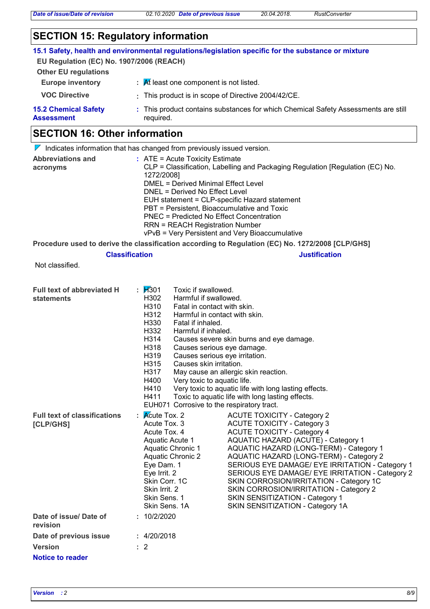# **SECTION 15: Regulatory information**

|                                                  | 15.1 Safety, health and environmental regulations/legislation specific for the substance or mixture |
|--------------------------------------------------|-----------------------------------------------------------------------------------------------------|
| EU Regulation (EC) No. 1907/2006 (REACH)         |                                                                                                     |
| <b>Other EU regulations</b>                      |                                                                                                     |
| <b>Europe inventory</b>                          | $\mathcal{A}$ R least one component is not listed.                                                  |
| <b>VOC Directive</b>                             | : This product is in scope of Directive 2004/42/CE.                                                 |
| <b>15.2 Chemical Safety</b><br><b>Assessment</b> | : This product contains substances for which Chemical Safety Assessments are still<br>required.     |
|                                                  |                                                                                                     |

# **SECTION 16: Other information**

|                                      | $\nabla$ Indicates information that has changed from previously issued version.                                                                                                                                                                                                                                                                                                                                                                    |
|--------------------------------------|----------------------------------------------------------------------------------------------------------------------------------------------------------------------------------------------------------------------------------------------------------------------------------------------------------------------------------------------------------------------------------------------------------------------------------------------------|
| <b>Abbreviations and</b><br>acronyms | $:$ ATE = Acute Toxicity Estimate<br>CLP = Classification, Labelling and Packaging Regulation [Regulation (EC) No.<br>1272/2008]<br>DMEL = Derived Minimal Effect Level<br>DNEL = Derived No Effect Level<br>EUH statement = CLP-specific Hazard statement<br>PBT = Persistent, Bioaccumulative and Toxic<br>PNEC = Predicted No Effect Concentration<br><b>RRN = REACH Registration Number</b><br>vPvB = Very Persistent and Very Bioaccumulative |

**Procedure used to derive the classification according to Regulation (EC) No. 1272/2008 [CLP/GHS]**

# **Classification Justification**

Not classified.

| Full text of abbreviated H<br>statements         | : $1/301$<br>Toxic if swallowed.<br>H302<br>Harmful if swallowed.<br>H310<br>H312<br>H330<br>Fatal if inhaled.<br>H332<br>Harmful if inhaled.<br>H314<br>H318<br>H319<br>H315<br>Causes skin irritation.<br>H317<br>H400<br>H410<br>H411 | Fatal in contact with skin.<br>Harmful in contact with skin.<br>Causes severe skin burns and eye damage.<br>Causes serious eye damage.<br>Causes serious eye irritation.<br>May cause an allergic skin reaction.<br>Very toxic to aquatic life.<br>Very toxic to aquatic life with long lasting effects.<br>Toxic to aquatic life with long lasting effects.<br>EUH071 Corrosive to the respiratory tract.                                                                                                           |
|--------------------------------------------------|------------------------------------------------------------------------------------------------------------------------------------------------------------------------------------------------------------------------------------------|----------------------------------------------------------------------------------------------------------------------------------------------------------------------------------------------------------------------------------------------------------------------------------------------------------------------------------------------------------------------------------------------------------------------------------------------------------------------------------------------------------------------|
| <b>Full text of classifications</b><br>[CLP/GHS] | $\mathsf{R}$ Mcute Tox. 2<br>Acute Tox, 3<br>Acute Tox, 4<br>Aquatic Acute 1<br>Aquatic Chronic 1<br><b>Aquatic Chronic 2</b><br>Eye Dam. 1<br>Eye Irrit. 2<br>Skin Corr. 1C<br>Skin Irrit. 2<br>Skin Sens. 1<br>Skin Sens. 1A           | <b>ACUTE TOXICITY - Category 2</b><br><b>ACUTE TOXICITY - Category 3</b><br><b>ACUTE TOXICITY - Category 4</b><br><b>AQUATIC HAZARD (ACUTE) - Category 1</b><br>AQUATIC HAZARD (LONG-TERM) - Category 1<br>AQUATIC HAZARD (LONG-TERM) - Category 2<br>SERIOUS EYE DAMAGE/ EYE IRRITATION - Category 1<br>SERIOUS EYE DAMAGE/ EYE IRRITATION - Category 2<br>SKIN CORROSION/IRRITATION - Category 1C<br>SKIN CORROSION/IRRITATION - Category 2<br>SKIN SENSITIZATION - Category 1<br>SKIN SENSITIZATION - Category 1A |
| Date of issue/Date of<br>revision                | : 10/2/2020                                                                                                                                                                                                                              |                                                                                                                                                                                                                                                                                                                                                                                                                                                                                                                      |
| Date of previous issue                           | : 4/20/2018                                                                                                                                                                                                                              |                                                                                                                                                                                                                                                                                                                                                                                                                                                                                                                      |
| <b>Version</b>                                   | $\therefore$ 2                                                                                                                                                                                                                           |                                                                                                                                                                                                                                                                                                                                                                                                                                                                                                                      |
| Notice to reader                                 |                                                                                                                                                                                                                                          |                                                                                                                                                                                                                                                                                                                                                                                                                                                                                                                      |